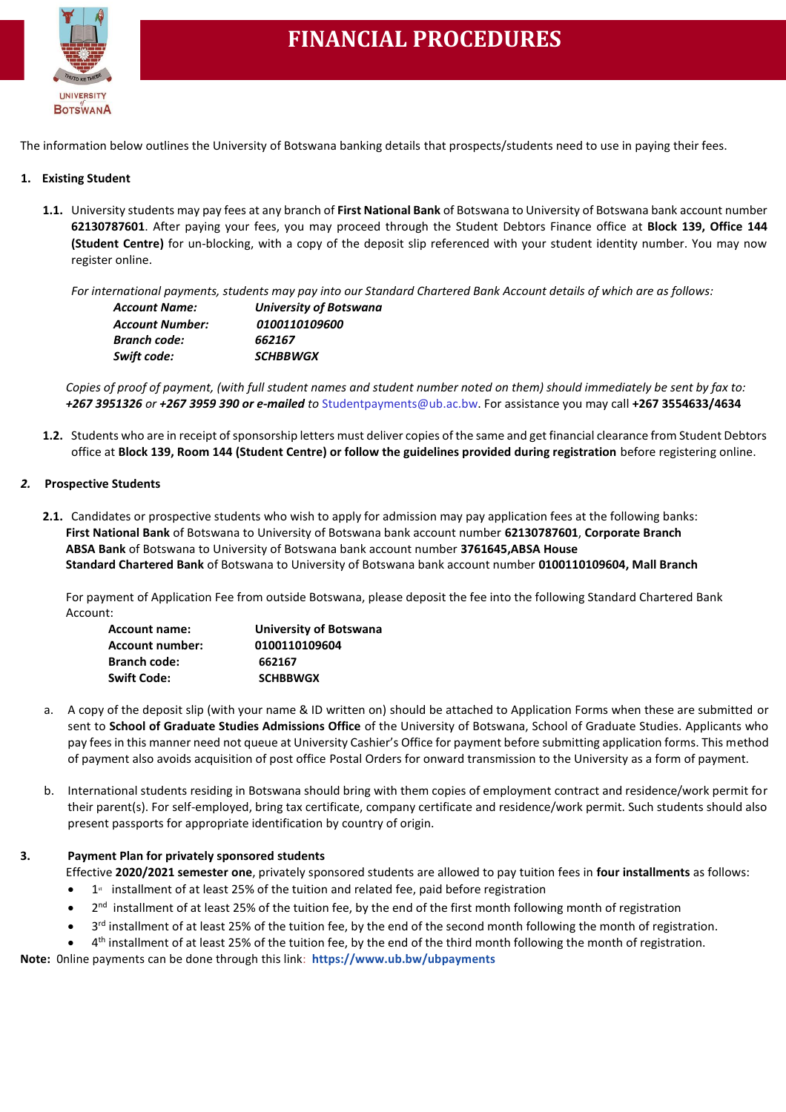

## **FINANCIAL PROCEDURES**

The information below outlines the University of Botswana banking details that prospects/students need to use in paying their fees.

### **1. Existing Student**

**1.1.** University students may pay fees at any branch of **First National Bank** of Botswana to University of Botswana bank account number **62130787601**. After paying your fees, you may proceed through the Student Debtors Finance office at **Block 139, Office 144 (Student Centre)** for un-blocking, with a copy of the deposit slip referenced with your student identity number. You may now register online.

*For international payments, students may pay into our Standard Chartered Bank Account details of which are as follows:*

| <b>Account Name:</b>   | <b>University of Botswana</b> |  |
|------------------------|-------------------------------|--|
| <b>Account Number:</b> | 0100110109600                 |  |
| Branch code:           | 662167                        |  |
| Swift code:            | <b>SCHBBWGX</b>               |  |

*Copies of proof of payment, (with full student names and student number noted on them) should immediately be sent by fax to: +267 3951326 or +267 3959 390 or e-mailed to* Studentpayments@ub.ac.bw. For assistance you may call **+267 3554633/4634**

**1.2.** Students who are in receipt of sponsorship letters must deliver copies of the same and get financial clearance from Student Debtors office at **Block 139, Room 144 (Student Centre) or follow the guidelines provided during registration** before registering online.

#### *2.* **Prospective Students**

**2.1.** Candidates or prospective students who wish to apply for admission may pay application fees at the following banks: **First National Bank** of Botswana to University of Botswana bank account number **62130787601**, **Corporate Branch ABSA Bank** of Botswana to University of Botswana bank account number **3761645,ABSA House Standard Chartered Bank** of Botswana to University of Botswana bank account number **0100110109604, Mall Branch**

For payment of Application Fee from outside Botswana, please deposit the fee into the following Standard Chartered Bank Account:

| <b>Account name:</b>   | <b>University of Botswana</b> |  |
|------------------------|-------------------------------|--|
| <b>Account number:</b> | 0100110109604                 |  |
| <b>Branch code:</b>    | 662167                        |  |
| <b>Swift Code:</b>     | <b>SCHBBWGX</b>               |  |

- a. A copy of the deposit slip (with your name & ID written on) should be attached to Application Forms when these are submitted or sent to **School of Graduate Studies Admissions Office** of the University of Botswana, School of Graduate Studies. Applicants who pay fees in this manner need not queue at University Cashier's Office for payment before submitting application forms. This method of payment also avoids acquisition of post office Postal Orders for onward transmission to the University as a form of payment.
- b. International students residing in Botswana should bring with them copies of employment contract and residence/work permit for their parent(s). For self-employed, bring tax certificate, company certificate and residence/work permit. Such students should also present passports for appropriate identification by country of origin.

#### **3. Payment Plan for privately sponsored students**

Effective **2020/2021 semester one**, privately sponsored students are allowed to pay tuition fees in **four installments** as follows:

- $\bullet$  1<sup>s</sup> installment of at least 25% of the tuition and related fee, paid before registration
- 2<sup>nd</sup> installment of at least 25% of the tuition fee, by the end of the first month following month of registration
- 3<sup>rd</sup> installment of at least 25% of the tuition fee, by the end of the second month following the month of registration.
- 4<sup>th</sup> installment of at least 25% of the tuition fee, by the end of the third month following the month of registration. **Note:** 0nline payments can be done through this link: **https://www.ub.bw/ubpayments**